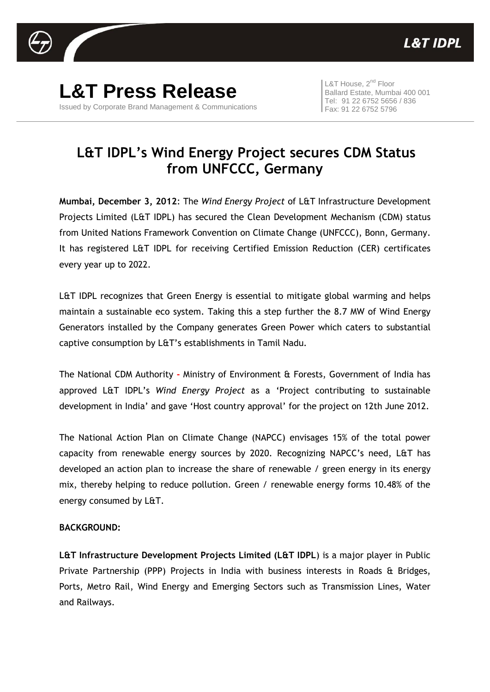

**L&T Press Release** Issued by Corporate Brand Management & Communications

L&T House, 2<sup>nd</sup> Floor Ballard Estate, Mumbai 400 001 Tel: 91 22 6752 5656 / 836 Fax: 91 22 6752 5796

## **L&T IDPL's Wind Energy Project secures CDM Status from UNFCCC, Germany**

**Mumbai, December 3, 2012**: The *Wind Energy Project* of L&T Infrastructure Development Projects Limited (L&T IDPL) has secured the Clean Development Mechanism (CDM) status from United Nations Framework Convention on Climate Change (UNFCCC), Bonn, Germany. It has registered L&T IDPL for receiving Certified Emission Reduction (CER) certificates every year up to 2022.

L&T IDPL recognizes that Green Energy is essential to mitigate global warming and helps maintain a sustainable eco system. Taking this a step further the 8.7 MW of Wind Energy Generators installed by the Company generates Green Power which caters to substantial captive consumption by L&T's establishments in Tamil Nadu.

The National CDM Authority **-** Ministry of Environment & Forests, Government of India has approved L&T IDPL's *Wind Energy Project* as a 'Project contributing to sustainable development in India' and gave 'Host country approval' for the project on 12th June 2012.

The National Action Plan on Climate Change (NAPCC) envisages 15% of the total power capacity from renewable energy sources by 2020. Recognizing NAPCC's need, L&T has developed an action plan to increase the share of renewable / green energy in its energy mix, thereby helping to reduce pollution. Green / renewable energy forms 10.48% of the energy consumed by L&T.

## **BACKGROUND:**

**L&T Infrastructure Development Projects Limited (L&T IDPL**) is a major player in Public Private Partnership (PPP) Projects in India with business interests in Roads & Bridges, Ports, Metro Rail, Wind Energy and Emerging Sectors such as Transmission Lines, Water and Railways.